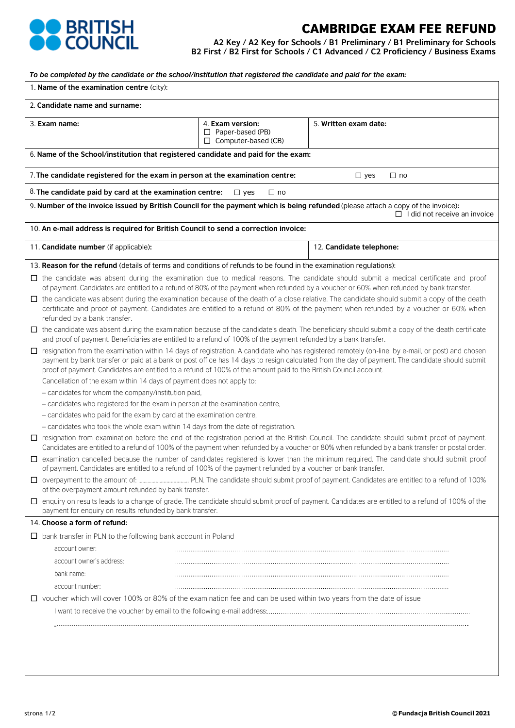

# CAMBRIDGE EXAM FEE REFUND

**A2 Key / A2 Key for Schools / B1 Preliminary / B1 Preliminary for Schools B2 First / B2 First for Schools / C1 Advanced / C2 Proficiency / Business Exams**

*To be completed by the candidate or the school/institution that registered the candidate and paid for the exam:*

|                                                                                           | 1. Name of the examination centre (city):                                                                                                                                                                                                                                                                                                                                                                                |                                                                           |                                     |  |  |  |  |  |
|-------------------------------------------------------------------------------------------|--------------------------------------------------------------------------------------------------------------------------------------------------------------------------------------------------------------------------------------------------------------------------------------------------------------------------------------------------------------------------------------------------------------------------|---------------------------------------------------------------------------|-------------------------------------|--|--|--|--|--|
| 2. Candidate name and surname:                                                            |                                                                                                                                                                                                                                                                                                                                                                                                                          |                                                                           |                                     |  |  |  |  |  |
| 3. Exam name:                                                                             |                                                                                                                                                                                                                                                                                                                                                                                                                          | 4. Exam version:<br>$\Box$ Paper-based (PB)<br>$\Box$ Computer-based (CB) | 5. Written exam date:               |  |  |  |  |  |
|                                                                                           | 6. Name of the School/institution that registered candidate and paid for the exam:                                                                                                                                                                                                                                                                                                                                       |                                                                           |                                     |  |  |  |  |  |
|                                                                                           | 7. The candidate registered for the exam in person at the examination centre:<br>$\Box$ yes<br>$\square$ no                                                                                                                                                                                                                                                                                                              |                                                                           |                                     |  |  |  |  |  |
| 8. The candidate paid by card at the examination centre:<br>$\Box$ no<br>$\Box$ yes       |                                                                                                                                                                                                                                                                                                                                                                                                                          |                                                                           |                                     |  |  |  |  |  |
|                                                                                           | 9. Number of the invoice issued by British Council for the payment which is being refunded (please attach a copy of the invoice):                                                                                                                                                                                                                                                                                        |                                                                           | $\Box$ I did not receive an invoice |  |  |  |  |  |
|                                                                                           | 10. An e-mail address is required for British Council to send a correction invoice:                                                                                                                                                                                                                                                                                                                                      |                                                                           |                                     |  |  |  |  |  |
|                                                                                           |                                                                                                                                                                                                                                                                                                                                                                                                                          |                                                                           |                                     |  |  |  |  |  |
|                                                                                           | 11. Candidate number (if applicable):                                                                                                                                                                                                                                                                                                                                                                                    |                                                                           | 12. Candidate telephone:            |  |  |  |  |  |
|                                                                                           | 13. Reason for the refund (details of terms and conditions of refunds to be found in the examination regulations):                                                                                                                                                                                                                                                                                                       |                                                                           |                                     |  |  |  |  |  |
|                                                                                           | □ the candidate was absent during the examination due to medical reasons. The candidate should submit a medical certificate and proof<br>of payment. Candidates are entitled to a refund of 80% of the payment when refunded by a voucher or 60% when refunded by bank transfer.                                                                                                                                         |                                                                           |                                     |  |  |  |  |  |
|                                                                                           | $\Box$ the candidate was absent during the examination because of the death of a close relative. The candidate should submit a copy of the death<br>certificate and proof of payment. Candidates are entitled to a refund of 80% of the payment when refunded by a voucher or 60% when<br>refunded by a bank transfer.                                                                                                   |                                                                           |                                     |  |  |  |  |  |
|                                                                                           | $\Box$ the candidate was absent during the examination because of the candidate's death. The beneficiary should submit a copy of the death certificate<br>and proof of payment. Beneficiaries are entitled to a refund of 100% of the payment refunded by a bank transfer.                                                                                                                                               |                                                                           |                                     |  |  |  |  |  |
| □                                                                                         | resignation from the examination within 14 days of registration. A candidate who has registered remotely (on-line, by e-mail, or post) and chosen<br>payment by bank transfer or paid at a bank or post office has 14 days to resign calculated from the day of payment. The candidate should submit<br>proof of payment. Candidates are entitled to a refund of 100% of the amount paid to the British Council account. |                                                                           |                                     |  |  |  |  |  |
|                                                                                           | Cancellation of the exam within 14 days of payment does not apply to:                                                                                                                                                                                                                                                                                                                                                    |                                                                           |                                     |  |  |  |  |  |
|                                                                                           | - candidates for whom the company/institution paid,                                                                                                                                                                                                                                                                                                                                                                      |                                                                           |                                     |  |  |  |  |  |
|                                                                                           | - candidates who registered for the exam in person at the examination centre,                                                                                                                                                                                                                                                                                                                                            |                                                                           |                                     |  |  |  |  |  |
|                                                                                           | - candidates who paid for the exam by card at the examination centre,<br>- candidates who took the whole exam within 14 days from the date of registration.                                                                                                                                                                                                                                                              |                                                                           |                                     |  |  |  |  |  |
|                                                                                           | □ resignation from examination before the end of the registration period at the British Council. The candidate should submit proof of payment.<br>Candidates are entitled to a refund of 100% of the payment when refunded by a voucher or 80% when refunded by a bank transfer or postal order.                                                                                                                         |                                                                           |                                     |  |  |  |  |  |
|                                                                                           | □ examination cancelled because the number of candidates registered is lower than the minimum required. The candidate should submit proof                                                                                                                                                                                                                                                                                |                                                                           |                                     |  |  |  |  |  |
|                                                                                           | of payment. Candidates are entitled to a refund of 100% of the payment refunded by a voucher or bank transfer.                                                                                                                                                                                                                                                                                                           |                                                                           |                                     |  |  |  |  |  |
|                                                                                           | of the overpayment amount refunded by bank transfer.<br>□ enquiry on results leads to a change of grade. The candidate should submit proof of payment. Candidates are entitled to a refund of 100% of the                                                                                                                                                                                                                |                                                                           |                                     |  |  |  |  |  |
| payment for enquiry on results refunded by bank transfer.<br>14. Choose a form of refund: |                                                                                                                                                                                                                                                                                                                                                                                                                          |                                                                           |                                     |  |  |  |  |  |
|                                                                                           | $\Box$ bank transfer in PLN to the following bank account in Poland                                                                                                                                                                                                                                                                                                                                                      |                                                                           |                                     |  |  |  |  |  |
|                                                                                           | account owner:                                                                                                                                                                                                                                                                                                                                                                                                           |                                                                           |                                     |  |  |  |  |  |
|                                                                                           | account owner's address:                                                                                                                                                                                                                                                                                                                                                                                                 |                                                                           |                                     |  |  |  |  |  |
|                                                                                           | bank name:                                                                                                                                                                                                                                                                                                                                                                                                               |                                                                           |                                     |  |  |  |  |  |
|                                                                                           | account number:                                                                                                                                                                                                                                                                                                                                                                                                          |                                                                           |                                     |  |  |  |  |  |
|                                                                                           | $\Box$ voucher which will cover 100% or 80% of the examination fee and can be used within two years from the date of issue                                                                                                                                                                                                                                                                                               |                                                                           |                                     |  |  |  |  |  |
|                                                                                           |                                                                                                                                                                                                                                                                                                                                                                                                                          |                                                                           |                                     |  |  |  |  |  |
|                                                                                           |                                                                                                                                                                                                                                                                                                                                                                                                                          |                                                                           |                                     |  |  |  |  |  |
|                                                                                           |                                                                                                                                                                                                                                                                                                                                                                                                                          |                                                                           |                                     |  |  |  |  |  |
|                                                                                           |                                                                                                                                                                                                                                                                                                                                                                                                                          |                                                                           |                                     |  |  |  |  |  |
|                                                                                           |                                                                                                                                                                                                                                                                                                                                                                                                                          |                                                                           |                                     |  |  |  |  |  |